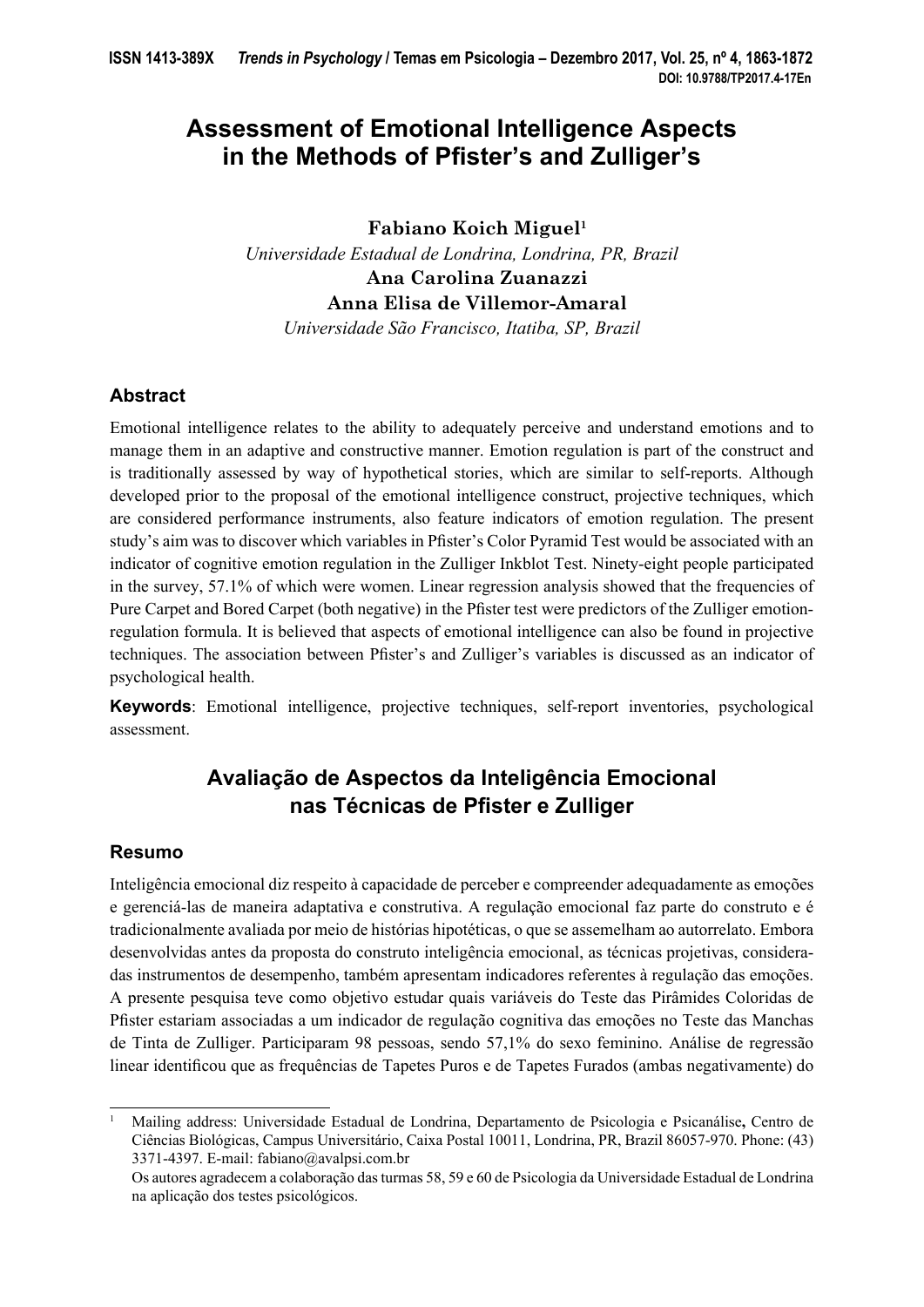# **Assessment of Emotional Intelligence Aspects**  in the Methods of Pfister's and Zulliger's

**Fabiano Koich Miguel1**

*Universidade Estadual de Londrina, Londrina, PR, Brazil* **Ana Carolina Zuanazzi Anna Elisa de Villemor-Amaral**

*Universidade São Francisco, Itatiba, SP, Brazil*

# **Abstract**

Emotional intelligence relates to the ability to adequately perceive and understand emotions and to manage them in an adaptive and constructive manner. Emotion regulation is part of the construct and is traditionally assessed by way of hypothetical stories, which are similar to self-reports. Although developed prior to the proposal of the emotional intelligence construct, projective techniques, which are considered performance instruments, also feature indicators of emotion regulation. The present study's aim was to discover which variables in Pfister's Color Pyramid Test would be associated with an indicator of cognitive emotion regulation in the Zulliger Inkblot Test. Ninety-eight people participated in the survey, 57.1% of which were women. Linear regression analysis showed that the frequencies of Pure Carpet and Bored Carpet (both negative) in the Pfister test were predictors of the Zulliger emotionregulation formula. It is believed that aspects of emotional intelligence can also be found in projective techniques. The association between Pfister's and Zulliger's variables is discussed as an indicator of psychological health.

**Keywords**: Emotional intelligence, projective techniques, self-report inventories, psychological assessment.

# **Avaliação de Aspectos da Inteligência Emocional nas Técnicas de Pfister e Zulliger**

# **Resumo**

Inteligência emocional diz respeito à capacidade de perceber e compreender adequadamente as emoções e gerenciá-las de maneira adaptativa e construtiva. A regulação emocional faz parte do construto e é tradicionalmente avaliada por meio de histórias hipotéticas, o que se assemelham ao autorrelato. Embora desenvolvidas antes da proposta do construto inteligência emocional, as técnicas projetivas, consideradas instrumentos de desempenho, também apresentam indicadores referentes à regulação das emoções. A presente pesquisa teve como objetivo estudar quais variáveis do Teste das Pirâmides Coloridas de Pfister estariam associadas a um indicador de regulação cognitiva das emoções no Teste das Manchas de Tinta de Zulliger. Participaram 98 pessoas, sendo 57,1% do sexo feminino. Análise de regressão linear identificou que as frequências de Tapetes Puros e de Tapetes Furados (ambas negativamente) do

<sup>1</sup> Mailing address: Universidade Estadual de Londrina, Departamento de Psicologia e Psicanálise**,** Centro de Ciências Biológicas, Campus Universitário, Caixa Postal 10011, Londrina, PR, Brazil 86057-970. Phone: (43) 3371-4397. E-mail: fabiano@avalpsi.com.br

Os autores agradecem a colaboração das turmas 58, 59 e 60 de Psicologia da Universidade Estadual de Londrina na aplicação dos testes psicológicos.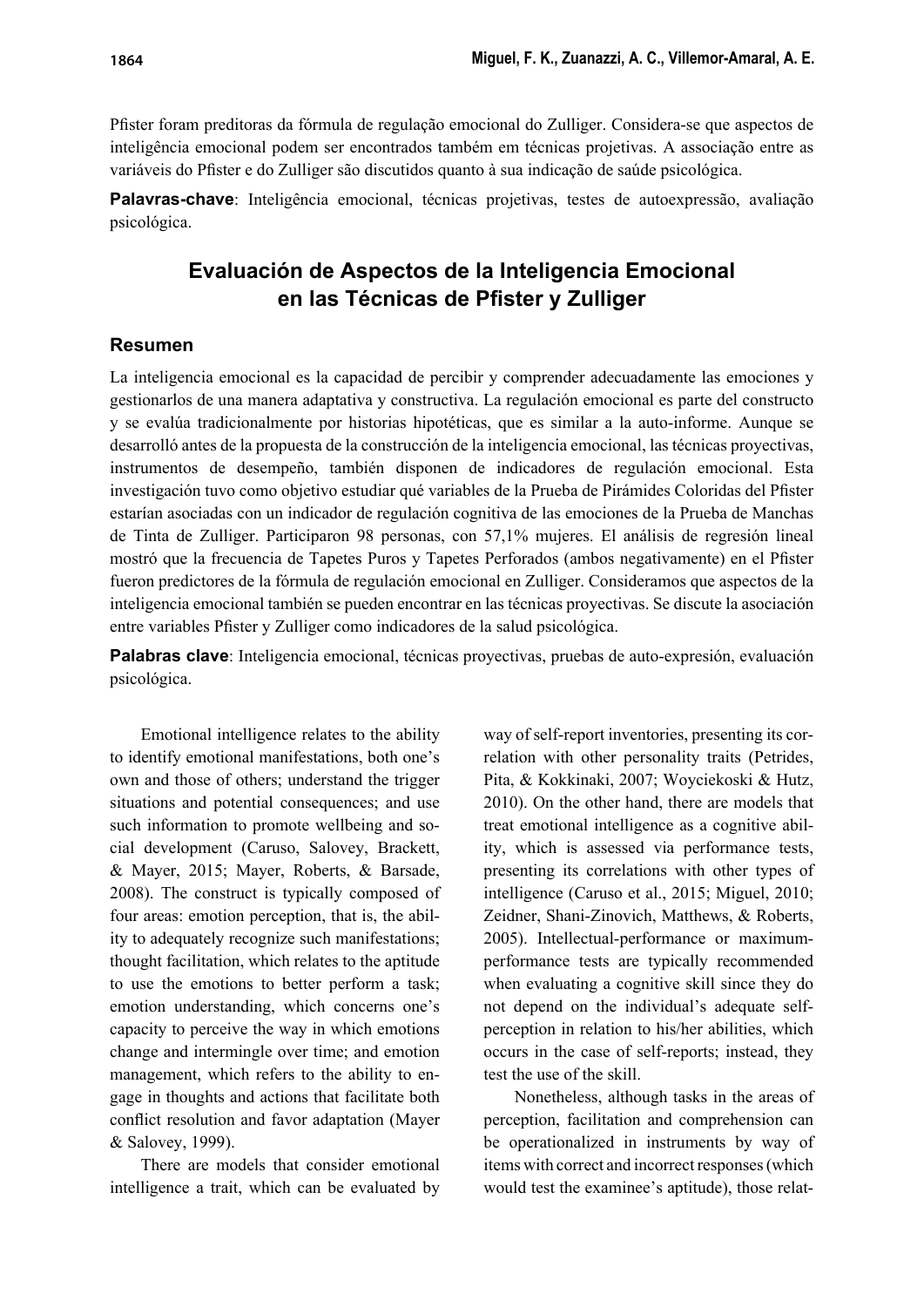Pfi ster foram preditoras da fórmula de regulação emocional do Zulliger. Considera-se que aspectos de inteligência emocional podem ser encontrados também em técnicas projetivas. A associação entre as variáveis do Pfister e do Zulliger são discutidos quanto à sua indicação de saúde psicológica.

**Palavras-chave**: Inteligência emocional, técnicas projetivas, testes de autoexpressão, avaliação psicológica.

# **Evaluación de Aspectos de la Inteligencia Emocional en las Técnicas de Pfister y Zulliger**

# **Resumen**

La inteligencia emocional es la capacidad de percibir y comprender adecuadamente las emociones y gestionarlos de una manera adaptativa y constructiva. La regulación emocional es parte del constructo y se evalúa tradicionalmente por historias hipotéticas, que es similar a la auto-informe. Aunque se desarrolló antes de la propuesta de la construcción de la inteligencia emocional, las técnicas proyectivas, instrumentos de desempeño, también disponen de indicadores de regulación emocional. Esta investigación tuvo como objetivo estudiar qué variables de la Prueba de Pirámides Coloridas del Pfister estarían asociadas con un indicador de regulación cognitiva de las emociones de la Prueba de Manchas de Tinta de Zulliger. Participaron 98 personas, con 57,1% mujeres. El análisis de regresión lineal mostró que la frecuencia de Tapetes Puros y Tapetes Perforados (ambos negativamente) en el Pfister fueron predictores de la fórmula de regulación emocional en Zulliger. Consideramos que aspectos de la inteligencia emocional también se pueden encontrar en las técnicas proyectivas. Se discute la asociación entre variables Pfister y Zulliger como indicadores de la salud psicológica.

**Palabras clave**: Inteligencia emocional, técnicas proyectivas, pruebas de auto-expresión, evaluación psicológica.

Emotional intelligence relates to the ability to identify emotional manifestations, both one's own and those of others; understand the trigger situations and potential consequences; and use such information to promote wellbeing and social development (Caruso, Salovey, Brackett, & Mayer, 2015; Mayer, Roberts, & Barsade, 2008). The construct is typically composed of four areas: emotion perception, that is, the ability to adequately recognize such manifestations; thought facilitation, which relates to the aptitude to use the emotions to better perform a task; emotion understanding, which concerns one's capacity to perceive the way in which emotions change and intermingle over time; and emotion management, which refers to the ability to engage in thoughts and actions that facilitate both conflict resolution and favor adaptation (Mayer & Salovey, 1999).

There are models that consider emotional intelligence a trait, which can be evaluated by

way of self-report inventories, presenting its correlation with other personality traits (Petrides, Pita, & Kokkinaki, 2007; Woyciekoski & Hutz, 2010). On the other hand, there are models that treat emotional intelligence as a cognitive ability, which is assessed via performance tests, presenting its correlations with other types of intelligence (Caruso et al., 2015; Miguel, 2010; Zeidner, Shani-Zinovich, Matthews, & Roberts, 2005). Intellectual-performance or maximumperformance tests are typically recommended when evaluating a cognitive skill since they do not depend on the individual's adequate selfperception in relation to his/her abilities, which occurs in the case of self-reports; instead, they test the use of the skill.

Nonetheless, although tasks in the areas of perception, facilitation and comprehension can be operationalized in instruments by way of items with correct and incorrect responses (which would test the examinee's aptitude), those relat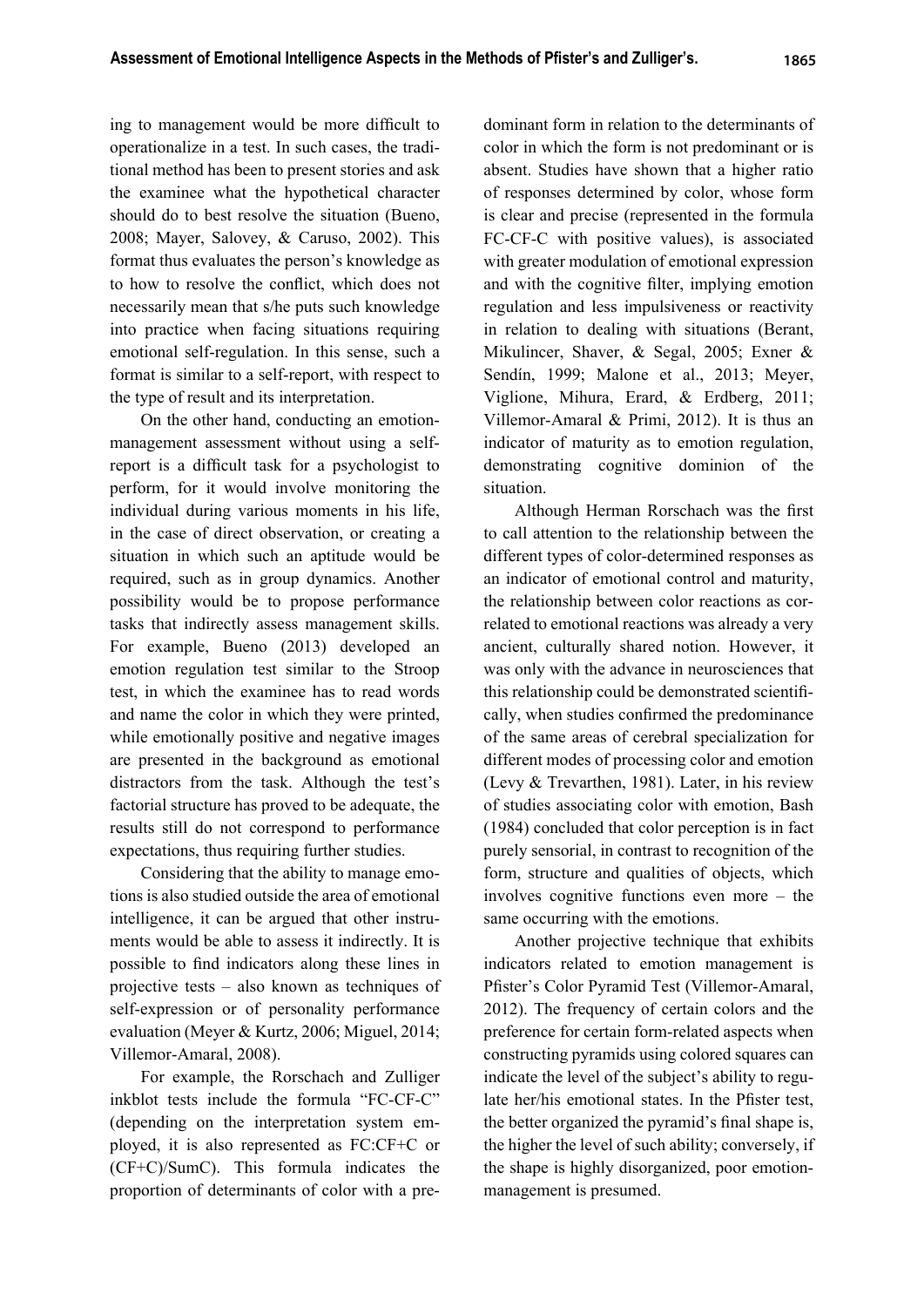ing to management would be more difficult to operationalize in a test. In such cases, the traditional method has been to present stories and ask the examinee what the hypothetical character should do to best resolve the situation (Bueno, 2008; Mayer, Salovey, & Caruso, 2002). This format thus evaluates the person's knowledge as to how to resolve the conflict, which does not necessarily mean that s/he puts such knowledge into practice when facing situations requiring emotional self-regulation. In this sense, such a format is similar to a self-report, with respect to the type of result and its interpretation.

On the other hand, conducting an emotionmanagement assessment without using a selfreport is a difficult task for a psychologist to perform, for it would involve monitoring the individual during various moments in his life, in the case of direct observation, or creating a situation in which such an aptitude would be required, such as in group dynamics. Another possibility would be to propose performance tasks that indirectly assess management skills. For example, Bueno (2013) developed an emotion regulation test similar to the Stroop test, in which the examinee has to read words and name the color in which they were printed, while emotionally positive and negative images are presented in the background as emotional distractors from the task. Although the test's factorial structure has proved to be adequate, the results still do not correspond to performance expectations, thus requiring further studies.

Considering that the ability to manage emotions is also studied outside the area of emotional intelligence, it can be argued that other instruments would be able to assess it indirectly. It is possible to find indicators along these lines in projective tests – also known as techniques of self-expression or of personality performance evaluation (Meyer & Kurtz, 2006; Miguel, 2014; Villemor-Amaral, 2008).

For example, the Rorschach and Zulliger inkblot tests include the formula "FC-CF-C" (depending on the interpretation system employed, it is also represented as FC:CF+C or (CF+C)/SumC). This formula indicates the proportion of determinants of color with a predominant form in relation to the determinants of color in which the form is not predominant or is absent. Studies have shown that a higher ratio of responses determined by color, whose form is clear and precise (represented in the formula FC-CF-C with positive values), is associated with greater modulation of emotional expression and with the cognitive filter, implying emotion regulation and less impulsiveness or reactivity in relation to dealing with situations (Berant, Mikulincer, Shaver, & Segal, 2005; Exner & Sendín, 1999; Malone et al., 2013; Meyer, Viglione, Mihura, Erard, & Erdberg, 2011; Villemor-Amaral & Primi, 2012). It is thus an indicator of maturity as to emotion regulation, demonstrating cognitive dominion of the situation.

Although Herman Rorschach was the first to call attention to the relationship between the different types of color-determined responses as an indicator of emotional control and maturity, the relationship between color reactions as correlated to emotional reactions was already a very ancient, culturally shared notion. However, it was only with the advance in neurosciences that this relationship could be demonstrated scientifi cally, when studies confirmed the predominance of the same areas of cerebral specialization for different modes of processing color and emotion (Levy & Trevarthen, 1981). Later, in his review of studies associating color with emotion, Bash (1984) concluded that color perception is in fact purely sensorial, in contrast to recognition of the form, structure and qualities of objects, which involves cognitive functions even more – the same occurring with the emotions.

Another projective technique that exhibits indicators related to emotion management is Pfister's Color Pyramid Test (Villemor-Amaral, 2012). The frequency of certain colors and the preference for certain form-related aspects when constructing pyramids using colored squares can indicate the level of the subject's ability to regulate her/his emotional states. In the Pfister test, the better organized the pyramid's final shape is, the higher the level of such ability; conversely, if the shape is highly disorganized, poor emotionmanagement is presumed.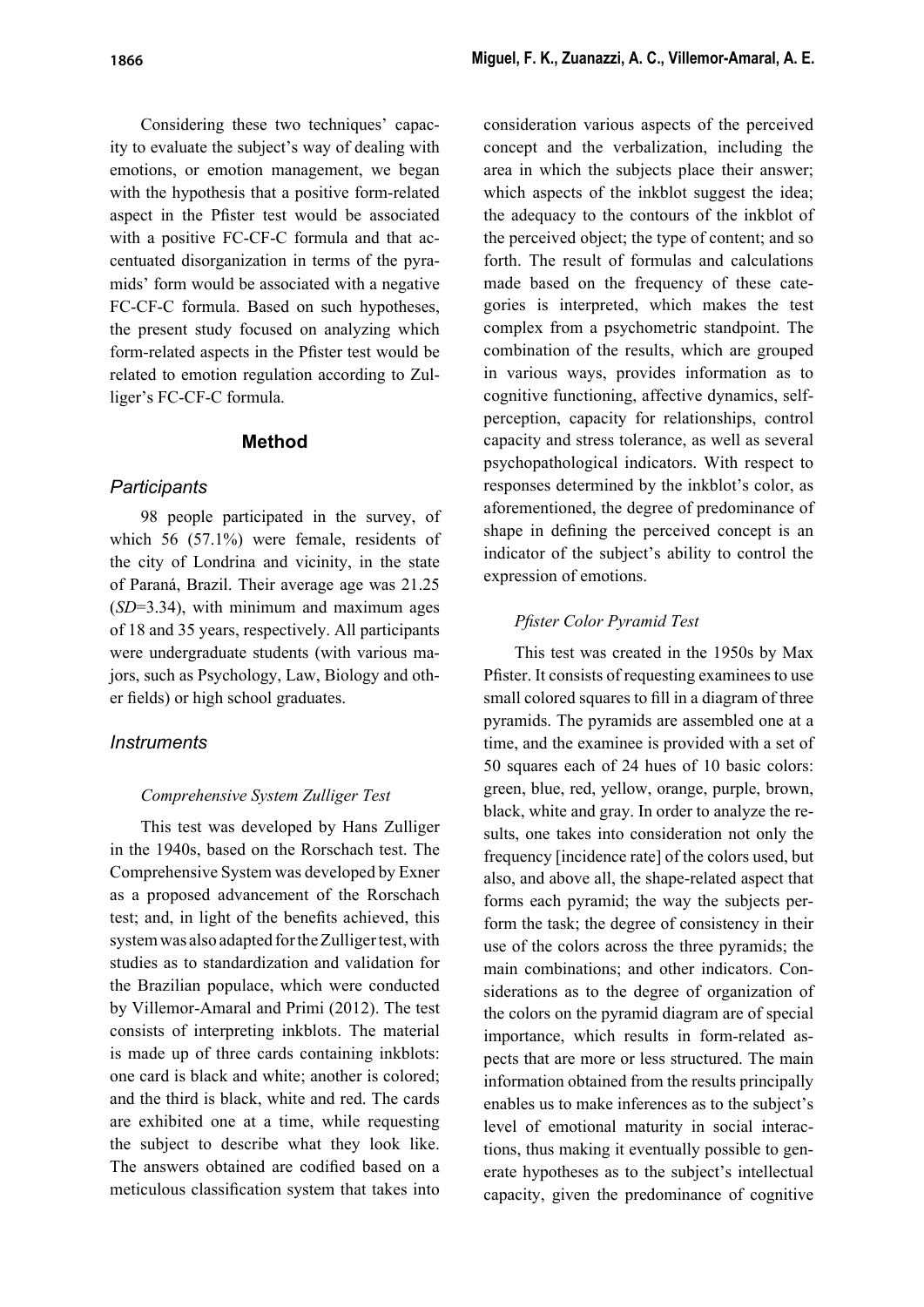Considering these two techniques' capacity to evaluate the subject's way of dealing with emotions, or emotion management, we began with the hypothesis that a positive form-related aspect in the Pfister test would be associated with a positive FC-CF-C formula and that accentuated disorganization in terms of the pyramids' form would be associated with a negative FC-CF-C formula. Based on such hypotheses, the present study focused on analyzing which form-related aspects in the Pfister test would be related to emotion regulation according to Zulliger's FC-CF-C formula.

### **Method**

### *Participants*

98 people participated in the survey, of which 56 (57.1%) were female, residents of the city of Londrina and vicinity, in the state of Paraná, Brazil. Their average age was 21.25 (*SD*=3.34), with minimum and maximum ages of 18 and 35 years, respectively. All participants were undergraduate students (with various majors, such as Psychology, Law, Biology and other fields) or high school graduates.

# *Instruments*

#### *Comprehensive System Zulliger Test*

This test was developed by Hans Zulliger in the 1940s, based on the Rorschach test. The Comprehensive System was developed by Exner as a proposed advancement of the Rorschach test; and, in light of the benefits achieved, this system was also adapted for the Zulliger test, with studies as to standardization and validation for the Brazilian populace, which were conducted by Villemor-Amaral and Primi (2012). The test consists of interpreting inkblots. The material is made up of three cards containing inkblots: one card is black and white; another is colored; and the third is black, white and red. The cards are exhibited one at a time, while requesting the subject to describe what they look like. The answers obtained are codified based on a meticulous classification system that takes into

consideration various aspects of the perceived concept and the verbalization, including the area in which the subjects place their answer; which aspects of the inkblot suggest the idea; the adequacy to the contours of the inkblot of the perceived object; the type of content; and so forth. The result of formulas and calculations made based on the frequency of these categories is interpreted, which makes the test complex from a psychometric standpoint. The combination of the results, which are grouped in various ways, provides information as to cognitive functioning, affective dynamics, selfperception, capacity for relationships, control capacity and stress tolerance, as well as several psychopathological indicators. With respect to responses determined by the inkblot's color, as aforementioned, the degree of predominance of shape in defining the perceived concept is an indicator of the subject's ability to control the expression of emotions.

### *Pfi ster Color Pyramid Test*

This test was created in the 1950s by Max Pfister. It consists of requesting examinees to use small colored squares to fill in a diagram of three pyramids. The pyramids are assembled one at a time, and the examinee is provided with a set of 50 squares each of 24 hues of 10 basic colors: green, blue, red, yellow, orange, purple, brown, black, white and gray. In order to analyze the results, one takes into consideration not only the frequency [incidence rate] of the colors used, but also, and above all, the shape-related aspect that forms each pyramid; the way the subjects perform the task; the degree of consistency in their use of the colors across the three pyramids; the main combinations; and other indicators. Considerations as to the degree of organization of the colors on the pyramid diagram are of special importance, which results in form-related aspects that are more or less structured. The main information obtained from the results principally enables us to make inferences as to the subject's level of emotional maturity in social interactions, thus making it eventually possible to generate hypotheses as to the subject's intellectual capacity, given the predominance of cognitive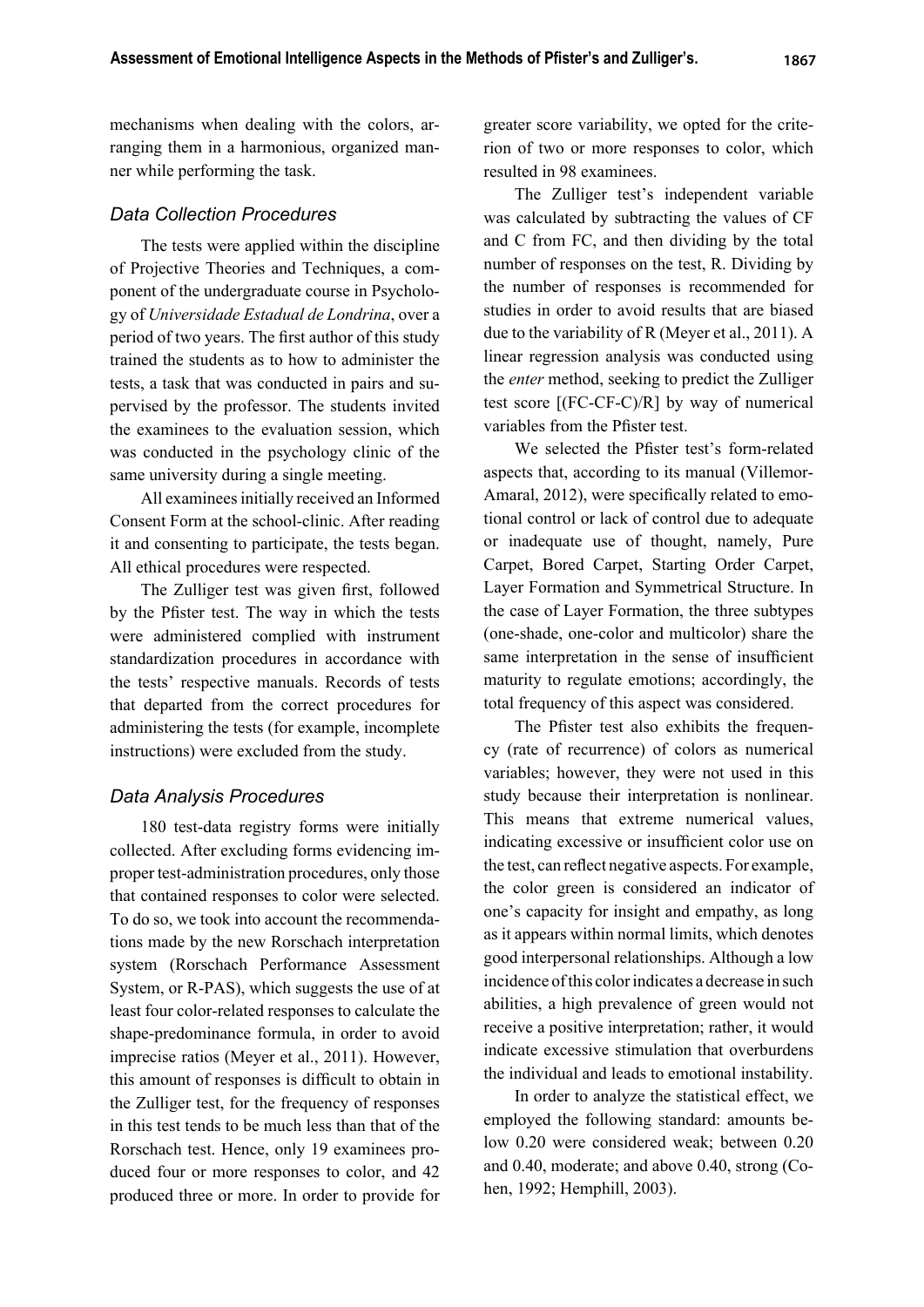mechanisms when dealing with the colors, arranging them in a harmonious, organized manner while performing the task.

#### *Data Collection Procedures*

The tests were applied within the discipline of Projective Theories and Techniques, a component of the undergraduate course in Psychology of *Universidade Estadual de Londrina*, over a period of two years. The first author of this study trained the students as to how to administer the tests, a task that was conducted in pairs and supervised by the professor. The students invited the examinees to the evaluation session, which was conducted in the psychology clinic of the same university during a single meeting.

All examinees initially received an Informed Consent Form at the school-clinic. After reading it and consenting to participate, the tests began. All ethical procedures were respected.

The Zulliger test was given first, followed by the Pfister test. The way in which the tests were administered complied with instrument standardization procedures in accordance with the tests' respective manuals. Records of tests that departed from the correct procedures for administering the tests (for example, incomplete instructions) were excluded from the study.

#### *Data Analysis Procedures*

180 test-data registry forms were initially collected. After excluding forms evidencing improper test-administration procedures, only those that contained responses to color were selected. To do so, we took into account the recommendations made by the new Rorschach interpretation system (Rorschach Performance Assessment System, or R-PAS), which suggests the use of at least four color-related responses to calculate the shape-predominance formula, in order to avoid imprecise ratios (Meyer et al., 2011). However, this amount of responses is difficult to obtain in the Zulliger test, for the frequency of responses in this test tends to be much less than that of the Rorschach test. Hence, only 19 examinees produced four or more responses to color, and 42 produced three or more. In order to provide for greater score variability, we opted for the criterion of two or more responses to color, which resulted in 98 examinees.

The Zulliger test's independent variable was calculated by subtracting the values of CF and C from FC, and then dividing by the total number of responses on the test, R. Dividing by the number of responses is recommended for studies in order to avoid results that are biased due to the variability of R (Meyer et al., 2011). A linear regression analysis was conducted using the *enter* method, seeking to predict the Zulliger test score [(FC-CF-C)/R] by way of numerical variables from the Pfister test.

We selected the Pfister test's form-related aspects that, according to its manual (Villemor-Amaral, 2012), were specifically related to emotional control or lack of control due to adequate or inadequate use of thought, namely, Pure Carpet, Bored Carpet, Starting Order Carpet, Layer Formation and Symmetrical Structure. In the case of Layer Formation, the three subtypes (one-shade, one-color and multicolor) share the same interpretation in the sense of insufficient maturity to regulate emotions; accordingly, the total frequency of this aspect was considered.

The Pfister test also exhibits the frequency (rate of recurrence) of colors as numerical variables; however, they were not used in this study because their interpretation is nonlinear. This means that extreme numerical values, indicating excessive or insufficient color use on the test, can reflect negative aspects. For example, the color green is considered an indicator of one's capacity for insight and empathy, as long as it appears within normal limits, which denotes good interpersonal relationships. Although a low incidence of this color indicates a decrease in such abilities, a high prevalence of green would not receive a positive interpretation; rather, it would indicate excessive stimulation that overburdens the individual and leads to emotional instability.

In order to analyze the statistical effect, we employed the following standard: amounts below 0.20 were considered weak; between 0.20 and 0.40, moderate; and above 0.40, strong (Cohen, 1992; Hemphill, 2003).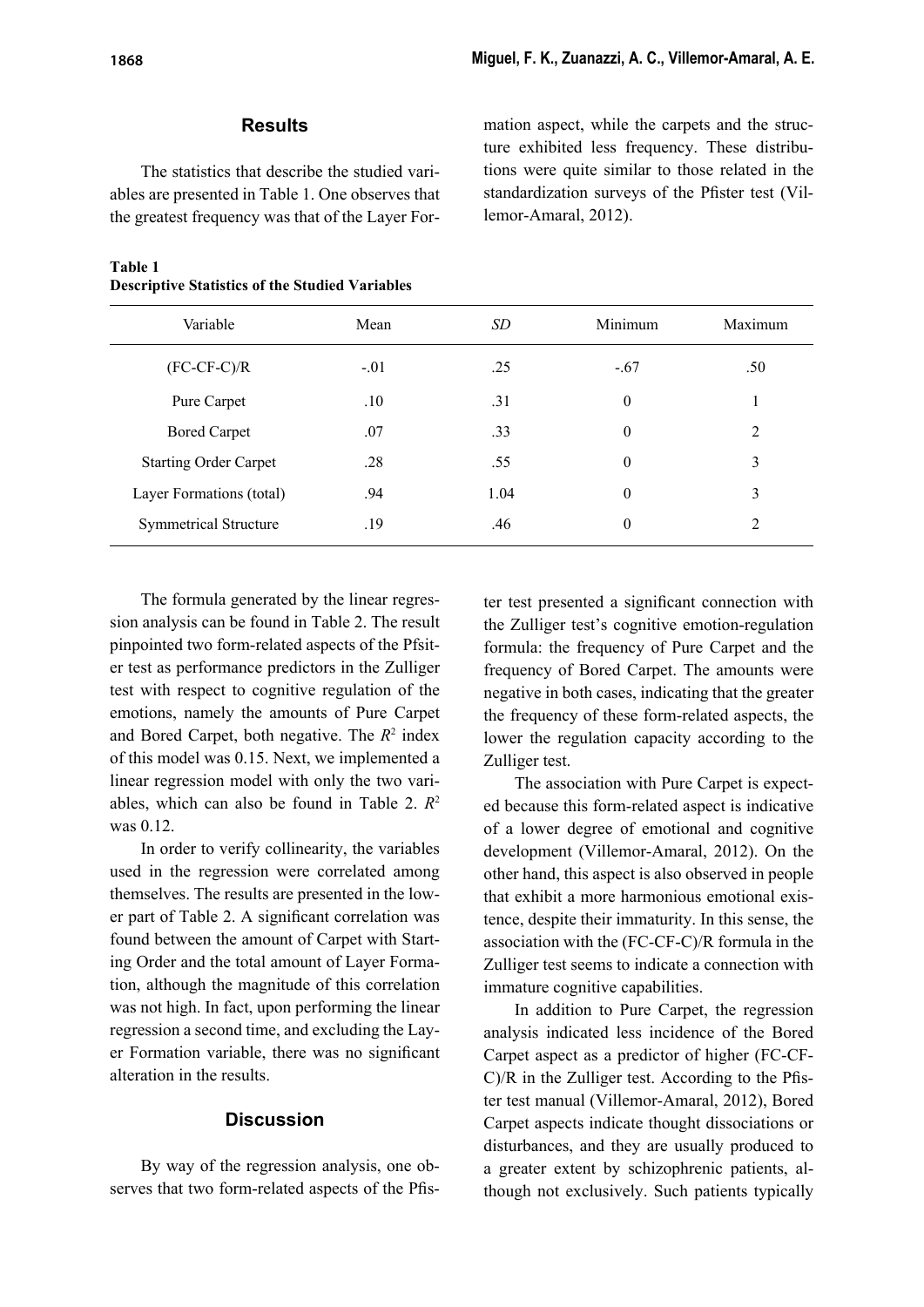# **Results**

The statistics that describe the studied variables are presented in Table 1. One observes that the greatest frequency was that of the Layer For-

#### **Table 1 Descriptive Statistics of the Studied Variables**

mation aspect, while the carpets and the structure exhibited less frequency. These distributions were quite similar to those related in the standardization surveys of the Pfister test (Villemor-Amaral, 2012).

| Variable                     | Mean   | SD.  | Minimum  | Maximum        |
|------------------------------|--------|------|----------|----------------|
| $(FC-CF-C)/R$                | $-.01$ | .25  | $-.67$   | .50            |
| Pure Carpet                  | .10    | .31  | $\theta$ |                |
| <b>Bored Carpet</b>          | .07    | .33  | $\theta$ | $\overline{c}$ |
| <b>Starting Order Carpet</b> | .28    | .55  | $\theta$ | 3              |
| Layer Formations (total)     | .94    | 1.04 | $\theta$ | 3              |
| <b>Symmetrical Structure</b> | .19    | .46  | $\theta$ | 2              |

The formula generated by the linear regression analysis can be found in Table 2. The result pinpointed two form-related aspects of the Pfsiter test as performance predictors in the Zulliger test with respect to cognitive regulation of the emotions, namely the amounts of Pure Carpet and Bored Carpet, both negative. The  $R^2$  index of this model was 0.15. Next, we implemented a linear regression model with only the two variables, which can also be found in Table 2. *R*<sup>2</sup> was 0.12

In order to verify collinearity, the variables used in the regression were correlated among themselves. The results are presented in the lower part of Table 2. A significant correlation was found between the amount of Carpet with Starting Order and the total amount of Layer Formation, although the magnitude of this correlation was not high. In fact, upon performing the linear regression a second time, and excluding the Layer Formation variable, there was no significant alteration in the results.

#### **Discussion**

By way of the regression analysis, one observes that two form-related aspects of the Pfister test presented a significant connection with the Zulliger test's cognitive emotion-regulation formula: the frequency of Pure Carpet and the frequency of Bored Carpet. The amounts were negative in both cases, indicating that the greater the frequency of these form-related aspects, the lower the regulation capacity according to the Zulliger test.

The association with Pure Carpet is expected because this form-related aspect is indicative of a lower degree of emotional and cognitive development (Villemor-Amaral, 2012). On the other hand, this aspect is also observed in people that exhibit a more harmonious emotional existence, despite their immaturity. In this sense, the association with the (FC-CF-C)/R formula in the Zulliger test seems to indicate a connection with immature cognitive capabilities.

In addition to Pure Carpet, the regression analysis indicated less incidence of the Bored Carpet aspect as a predictor of higher (FC-CF- $C/R$  in the Zulliger test. According to the Pfister test manual (Villemor-Amaral, 2012), Bored Carpet aspects indicate thought dissociations or disturbances, and they are usually produced to a greater extent by schizophrenic patients, although not exclusively. Such patients typically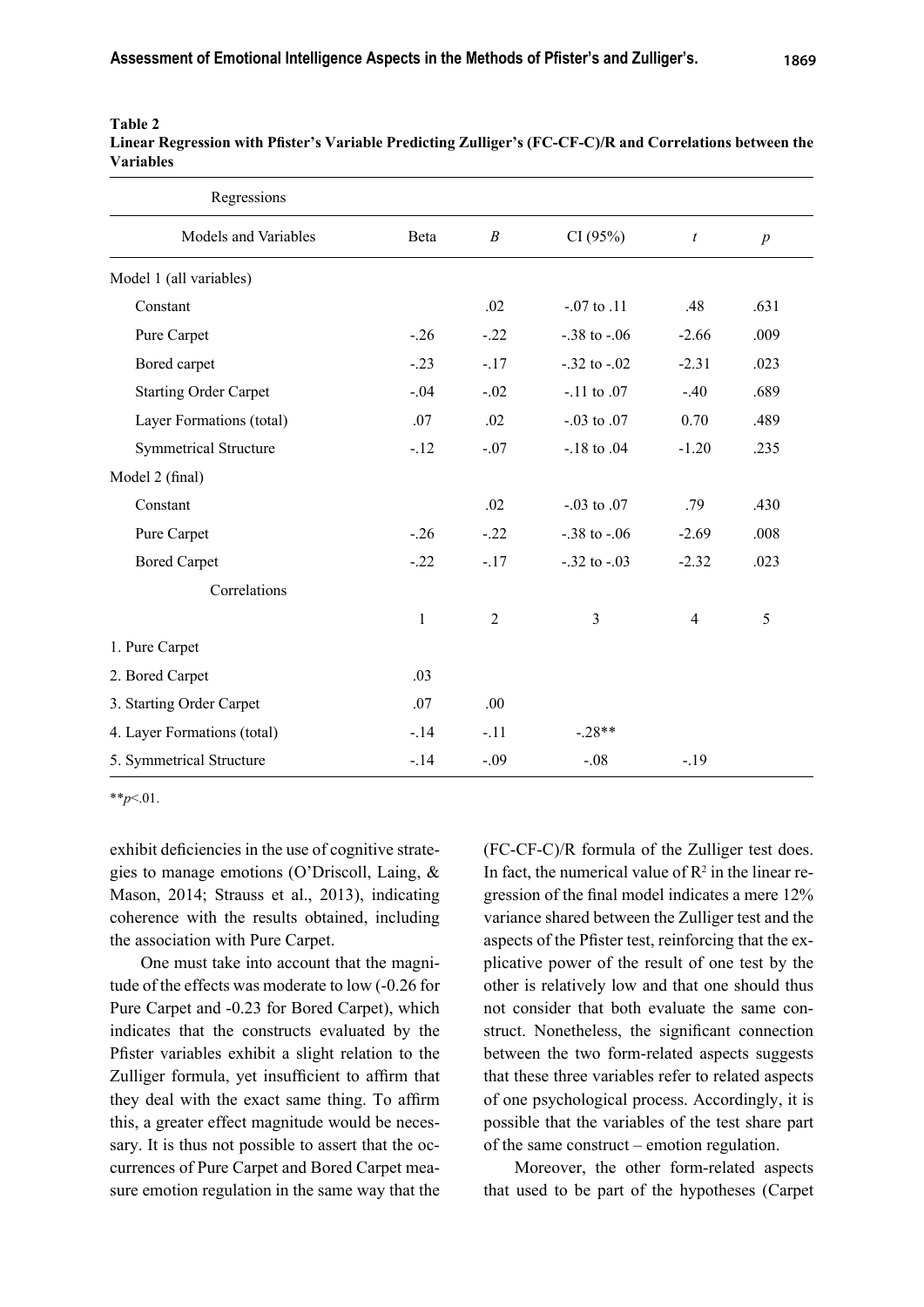| Regressions                  |              |                  |                   |                  |                  |
|------------------------------|--------------|------------------|-------------------|------------------|------------------|
| Models and Variables         | Beta         | $\boldsymbol{B}$ | CI(95%)           | $\boldsymbol{t}$ | $\boldsymbol{p}$ |
| Model 1 (all variables)      |              |                  |                   |                  |                  |
| Constant                     |              | .02              | $-.07$ to $.11$   | .48              | .631             |
| Pure Carpet                  | $-26$        | $-.22$           | $-.38$ to $-.06$  | $-2.66$          | .009             |
| Bored carpet                 | $-.23$       | $-.17$           | $-.32$ to $-.02$  | $-2.31$          | .023             |
| <b>Starting Order Carpet</b> | $-.04$       | $-.02$           | $-.11$ to $.07$   | $-.40$           | .689             |
| Layer Formations (total)     | .07          | .02              | $-0.03$ to $0.07$ | 0.70             | .489             |
| <b>Symmetrical Structure</b> | $-12$        | $-.07$           | $-.18$ to $.04$   | $-1.20$          | .235             |
| Model 2 (final)              |              |                  |                   |                  |                  |
| Constant                     |              | .02              | $-0.03$ to $0.07$ | .79              | .430             |
| Pure Carpet                  | $-26$        | $-.22$           | $-.38$ to $-.06$  | $-2.69$          | .008             |
| <b>Bored Carpet</b>          | $-.22$       | $-.17$           | $-.32$ to $-.03$  | $-2.32$          | .023             |
| Correlations                 |              |                  |                   |                  |                  |
|                              | $\mathbf{1}$ | $\overline{2}$   | $\overline{3}$    | $\overline{4}$   | 5                |
| 1. Pure Carpet               |              |                  |                   |                  |                  |
| 2. Bored Carpet              | .03          |                  |                   |                  |                  |
| 3. Starting Order Carpet     | .07          | .00.             |                   |                  |                  |
| 4. Layer Formations (total)  | $-14$        | $-.11$           | $-.28**$          |                  |                  |
| 5. Symmetrical Structure     | $-14$        | $-.09$           | $-.08$            | $-19$            |                  |

#### **Table 2**

Linear Regression with Pfister's Variable Predicting Zulliger's (FC-CF-C)/R and Correlations between the **Variables**

\*\**p*<.01.

exhibit deficiencies in the use of cognitive strategies to manage emotions (O'Driscoll, Laing, & Mason, 2014; Strauss et al., 2013), indicating coherence with the results obtained, including the association with Pure Carpet.

One must take into account that the magnitude of the effects was moderate to low (-0.26 for Pure Carpet and -0.23 for Bored Carpet), which indicates that the constructs evaluated by the Pfister variables exhibit a slight relation to the Zulliger formula, yet insufficient to affirm that they deal with the exact same thing. To affirm this, a greater effect magnitude would be necessary. It is thus not possible to assert that the occurrences of Pure Carpet and Bored Carpet measure emotion regulation in the same way that the (FC-CF-C)/R formula of the Zulliger test does. In fact, the numerical value of  $\mathbb{R}^2$  in the linear regression of the final model indicates a mere 12% variance shared between the Zulliger test and the aspects of the Pfister test, reinforcing that the explicative power of the result of one test by the other is relatively low and that one should thus not consider that both evaluate the same construct. Nonetheless, the significant connection between the two form-related aspects suggests that these three variables refer to related aspects of one psychological process. Accordingly, it is possible that the variables of the test share part of the same construct – emotion regulation.

Moreover, the other form-related aspects that used to be part of the hypotheses (Carpet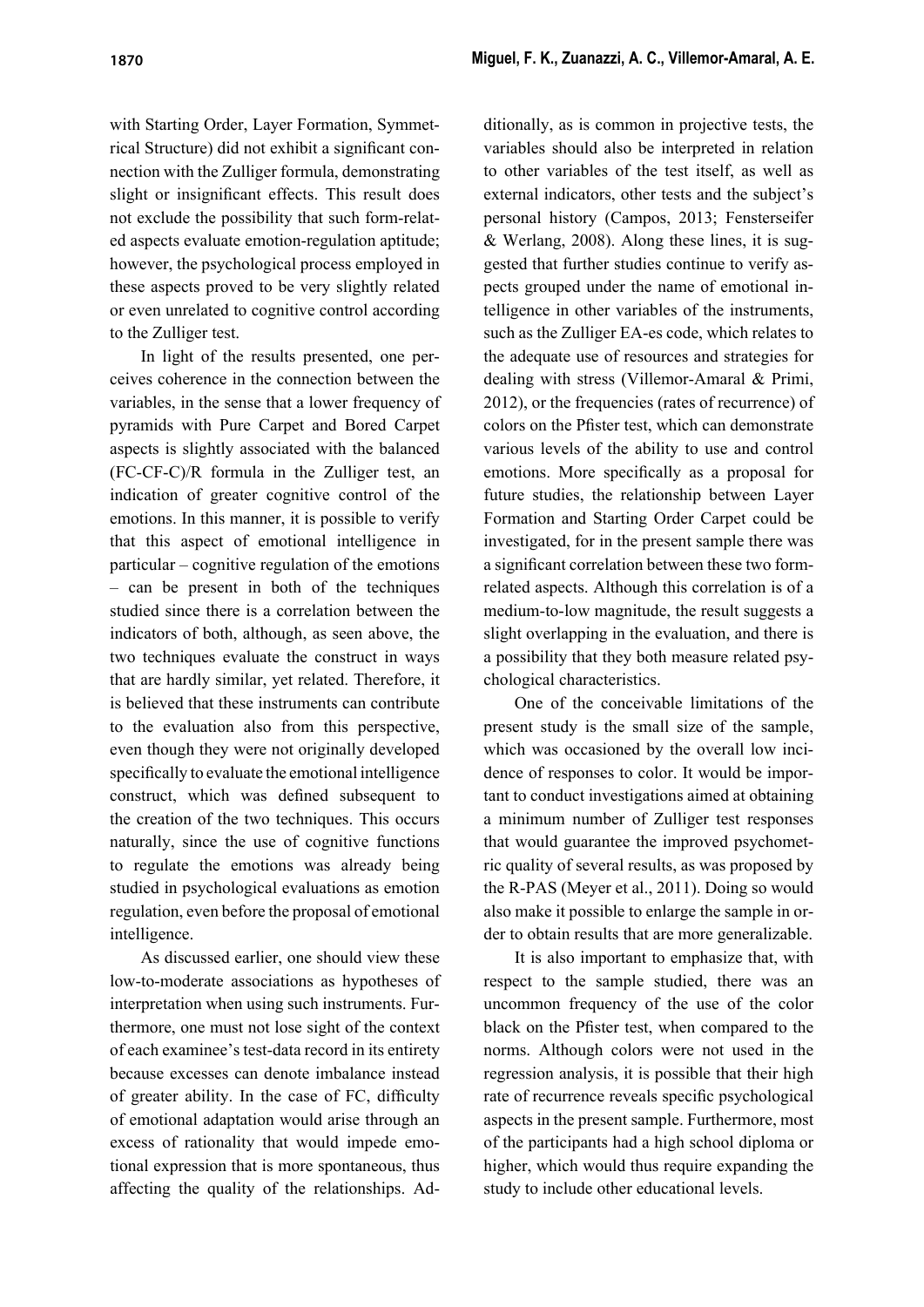with Starting Order, Layer Formation, Symmetrical Structure) did not exhibit a significant connection with the Zulliger formula, demonstrating slight or insignificant effects. This result does not exclude the possibility that such form-related aspects evaluate emotion-regulation aptitude; however, the psychological process employed in these aspects proved to be very slightly related or even unrelated to cognitive control according to the Zulliger test.

In light of the results presented, one perceives coherence in the connection between the variables, in the sense that a lower frequency of pyramids with Pure Carpet and Bored Carpet aspects is slightly associated with the balanced (FC-CF-C)/R formula in the Zulliger test, an indication of greater cognitive control of the emotions. In this manner, it is possible to verify that this aspect of emotional intelligence in particular – cognitive regulation of the emotions – can be present in both of the techniques studied since there is a correlation between the indicators of both, although, as seen above, the two techniques evaluate the construct in ways that are hardly similar, yet related. Therefore, it is believed that these instruments can contribute to the evaluation also from this perspective, even though they were not originally developed specifically to evaluate the emotional intelligence construct, which was defined subsequent to the creation of the two techniques. This occurs naturally, since the use of cognitive functions to regulate the emotions was already being studied in psychological evaluations as emotion regulation, even before the proposal of emotional intelligence.

As discussed earlier, one should view these low-to-moderate associations as hypotheses of interpretation when using such instruments. Furthermore, one must not lose sight of the context of each examinee's test-data record in its entirety because excesses can denote imbalance instead of greater ability. In the case of FC, difficulty of emotional adaptation would arise through an excess of rationality that would impede emotional expression that is more spontaneous, thus affecting the quality of the relationships. Additionally, as is common in projective tests, the variables should also be interpreted in relation to other variables of the test itself, as well as external indicators, other tests and the subject's personal history (Campos, 2013; Fensterseifer & Werlang, 2008). Along these lines, it is suggested that further studies continue to verify aspects grouped under the name of emotional intelligence in other variables of the instruments, such as the Zulliger EA-es code, which relates to the adequate use of resources and strategies for dealing with stress (Villemor-Amaral & Primi, 2012), or the frequencies (rates of recurrence) of colors on the Pfister test, which can demonstrate various levels of the ability to use and control emotions. More specifically as a proposal for future studies, the relationship between Layer Formation and Starting Order Carpet could be investigated, for in the present sample there was a significant correlation between these two formrelated aspects. Although this correlation is of a medium-to-low magnitude, the result suggests a slight overlapping in the evaluation, and there is a possibility that they both measure related psychological characteristics.

One of the conceivable limitations of the present study is the small size of the sample, which was occasioned by the overall low incidence of responses to color. It would be important to conduct investigations aimed at obtaining a minimum number of Zulliger test responses that would guarantee the improved psychometric quality of several results, as was proposed by the R-PAS (Meyer et al., 2011). Doing so would also make it possible to enlarge the sample in order to obtain results that are more generalizable.

It is also important to emphasize that, with respect to the sample studied, there was an uncommon frequency of the use of the color black on the Pfister test, when compared to the norms. Although colors were not used in the regression analysis, it is possible that their high rate of recurrence reveals specific psychological aspects in the present sample. Furthermore, most of the participants had a high school diploma or higher, which would thus require expanding the study to include other educational levels.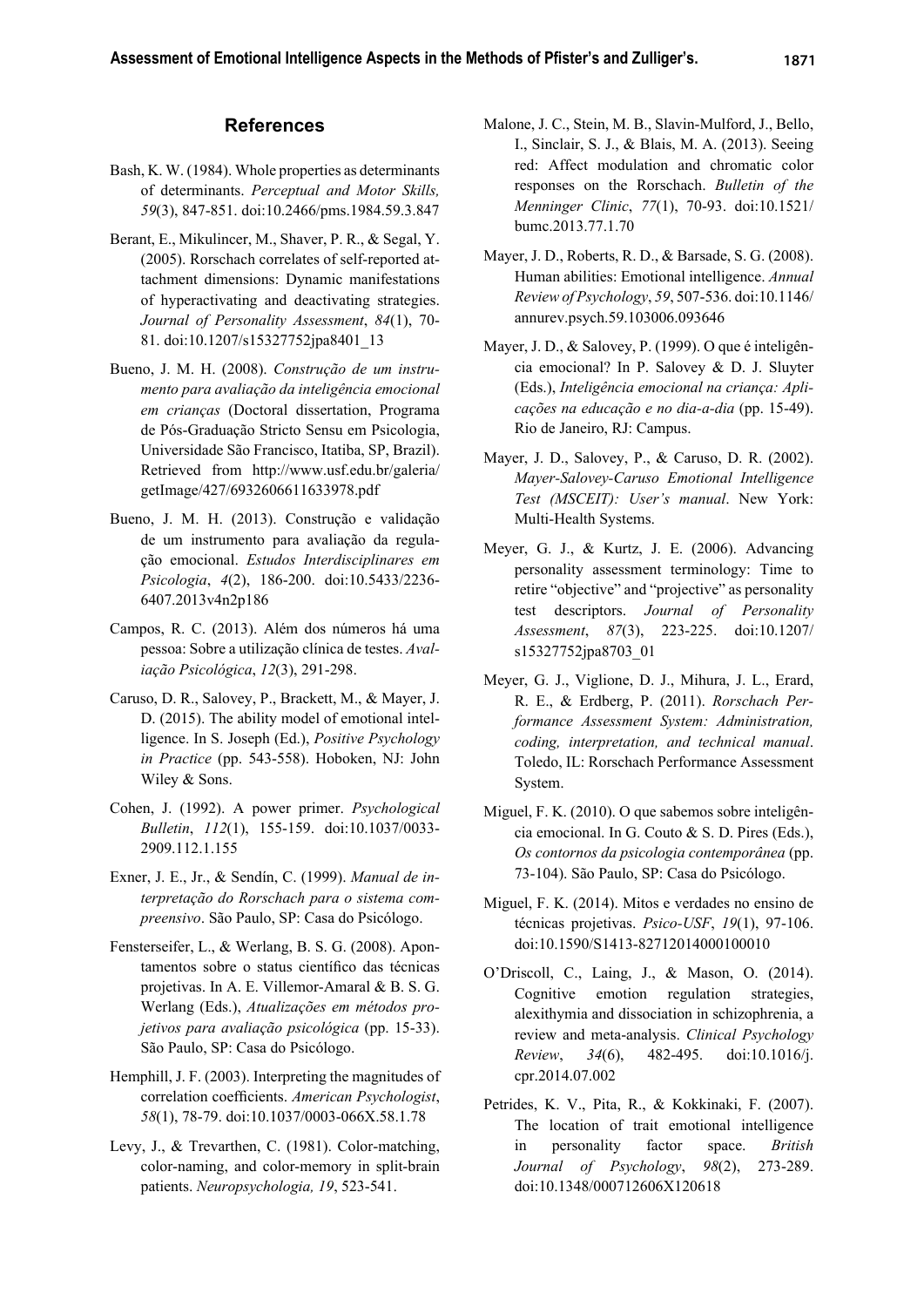## **References**

- Bash, K. W. (1984). Whole properties as determinants of determinants. *Perceptual and Motor Skills, 59*(3), 847-851. doi:10.2466/pms.1984.59.3.847
- Berant, E., Mikulincer, M., Shaver, P. R., & Segal, Y. (2005). Rorschach correlates of self-reported attachment dimensions: Dynamic manifestations of hyperactivating and deactivating strategies. *Journal of Personality Assessment*, *84*(1), 70- 81. doi:10.1207/s15327752jpa8401\_13
- Bueno, J. M. H. (2008). *Construção de um instrumento para avaliação da inteligência emocional em crianças* (Doctoral dissertation, Programa de Pós-Graduação Stricto Sensu em Psicologia, Universidade São Francisco, Itatiba, SP, Brazil). Retrieved from http://www.usf.edu.br/galeria/ getImage/427/6932606611633978.pdf
- Bueno, J. M. H. (2013). Construção e validação de um instrumento para avaliação da regulação emocional. *Estudos Interdisciplinares em Psicologia*, *4*(2), 186-200. doi:10.5433/2236- 6407.2013v4n2p186
- Campos, R. C. (2013). Além dos números há uma pessoa: Sobre a utilização clínica de testes. *Avaliação Psicológica*, *12*(3), 291-298.
- Caruso, D. R., Salovey, P., Brackett, M., & Mayer, J. D. (2015). The ability model of emotional intelligence. In S. Joseph (Ed.), *Positive Psychology in Practice* (pp. 543-558). Hoboken, NJ: John Wiley & Sons.
- Cohen, J. (1992). A power primer. *Psychological Bulletin*, *112*(1), 155-159. doi:10.1037/0033- 2909.112.1.155
- Exner, J. E., Jr., & Sendín, C. (1999). *Manual de interpretação do Rorschach para o sistema compreensivo*. São Paulo, SP: Casa do Psicólogo.
- Fensterseifer, L., & Werlang, B. S. G. (2008). Apontamentos sobre o status científico das técnicas projetivas. In A. E. Villemor-Amaral & B. S. G. Werlang (Eds.), *Atualizações em métodos projetivos para avaliação psicológica* (pp. 15-33). São Paulo, SP: Casa do Psicólogo.
- Hemphill, J. F. (2003). Interpreting the magnitudes of correlation coefficients. *American Psychologist*, *58*(1), 78-79. doi:10.1037/0003-066X.58.1.78
- Levy, J., & Trevarthen, C. (1981). Color-matching, color-naming, and color-memory in split-brain patients. *Neuropsychologia, 19*, 523-541.
- Malone, J. C., Stein, M. B., Slavin-Mulford, J., Bello, I., Sinclair, S. J., & Blais, M. A. (2013). Seeing red: Affect modulation and chromatic color responses on the Rorschach. *Bulletin of the Menninger Clinic*, *77*(1), 70-93. doi:10.1521/ bumc.2013.77.1.70
- Mayer, J. D., Roberts, R. D., & Barsade, S. G. (2008). Human abilities: Emotional intelligence. *Annual Review of Psychology*, *59*, 507-536. doi:10.1146/ annurev.psych.59.103006.093646
- Mayer, J. D., & Salovey, P. (1999). O que é inteligência emocional? In P. Salovey & D. J. Sluyter (Eds.), *Inteligência emocional na criança: Aplicações na educação e no dia-a-dia* (pp. 15-49). Rio de Janeiro, RJ: Campus.
- Mayer, J. D., Salovey, P., & Caruso, D. R. (2002). *Mayer-Salovey-Caruso Emotional Intelligence Test (MSCEIT): User's manual*. New York: Multi-Health Systems.
- Meyer, G. J., & Kurtz, J. E. (2006). Advancing personality assessment terminology: Time to retire "objective" and "projective" as personality test descriptors. *Journal of Personality Assessment*, *87*(3), 223-225. doi:10.1207/ s15327752jpa8703\_01
- Meyer, G. J., Viglione, D. J., Mihura, J. L., Erard, R. E., & Erdberg, P. (2011). *Rorschach Performance Assessment System: Administration, coding, interpretation, and technical manual*. Toledo, IL: Rorschach Performance Assessment System.
- Miguel, F. K. (2010). O que sabemos sobre inteligência emocional. In G. Couto & S. D. Pires (Eds.), *Os contornos da psicologia contemporânea* (pp. 73-104). São Paulo, SP: Casa do Psicólogo.
- Miguel, F. K. (2014). Mitos e verdades no ensino de técnicas projetivas. *Psico-USF*, *19*(1), 97-106. doi:10.1590/S1413-82712014000100010
- O'Driscoll, C., Laing, J., & Mason, O. (2014). Cognitive emotion regulation strategies, alexithymia and dissociation in schizophrenia, a review and meta-analysis. *Clinical Psychology Review*, *34*(6), 482-495. doi:10.1016/j. cpr.2014.07.002
- Petrides, K. V., Pita, R., & Kokkinaki, F. (2007). The location of trait emotional intelligence in personality factor space. *British Journal of Psychology*, *98*(2), 273-289. doi:10.1348/000712606X120618